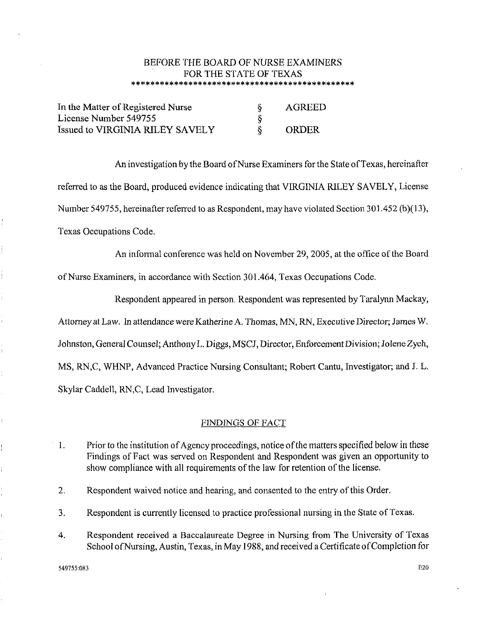# BEFORE THE BOARD OF NURSE EXAMINERS FOR THE STATE OF TEXAS \*\*\*\*\*\*\*\*\*\*\*\*\*\*\*\*\*\*\*\*\*\*\*\*\*\*\*\*\*\*\*\*\*\*\*\*\*\*\*\*\*\*\*\*\*\*\*

| In the Matter of Registered Nurse | AGREED |
|-----------------------------------|--------|
| License Number 549755             |        |
| Issued to VIRGINIA RILEY SAVELY   | ORDER  |

An investigation by the Board of Nurse Examiners for the State of Texas, hereinafter referred to as the Board, produced evidence indicating that VIRGINIA RILEY SAVELY, License Number 549755, hereinafter referred to as Respondent, may have violated Section 301.452 (b)(l3), Texas Occupations Code.

An informal conference was held on November 29, 2005, at the office of the Board

of Nurse Examiners, in accordance with Section 301.464, Texas Occupations Code.

Respondent appeared in person. Respondent was represented by Taralynn Mackay,

Attorney at Law. In attendance were Katherine A. Thomas, MN, RN, Executive Director; James W.

Johnston, General Counsel; Anthony L. Diggs, MSCJ, Director, Enforcement Division; Jolene Zych,

MS, RN,C, WHNP, Advanced Practice Nursing Consultant; Robert Cantu, Investigator; and J. L.

Skylar Caddell, RN,C, Lead Investigator.

# FINDINGS OF FACT

- 1. Prior to the institution of Agency proceedings, notice of the matters specified below in these Findings of Fact was served on Respondent and Respondent was given an opportunity to show compliance with all requirements of the law for retention of the license.
- 2. Respondent waived notice and hearing, and consented to the entry of this Order.
- 3. Respondent is currently licensed to practice professional nursing in the State of Texas.
- 4. Respondent received a Baccalaureate Degree in Nursing from The University of Texas School ofNursing, Austin, Texas, in May 1988, and received a Certificate of Completion for

549755:083 E20

 $\bar{1}$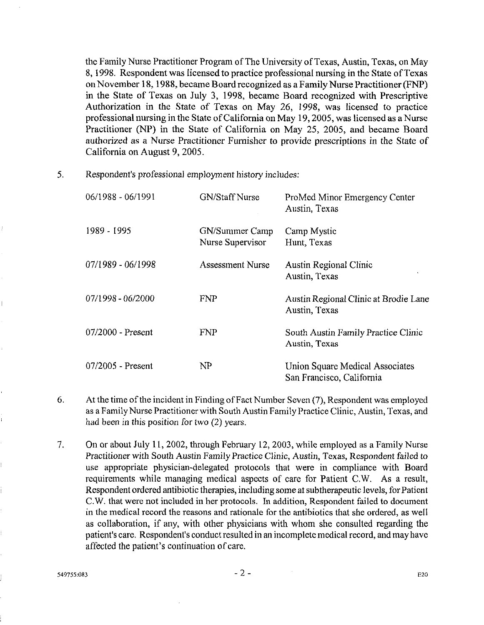the Family Nurse Practitioner Program of The University of Texas, Austin, Texas, on May 8, 1998. Respondent was licensed to practice professional nursing in the State ofTexas on November 18, 1988, became Board recognized as a Family Nurse Practitioner (FNP) in the State of Texas on July 3, 1998, became Board recognized with Prescriptive Authorization in the State of Texas on May 26, 1998, was licensed to practice professional nursing in the State of California on May 19, 2005, was licensed as a Nurse Practitioner (NP) in the State of California on May 25, 2005, and became Board authorized as a Nurse Practitioner Furnisher to provide prescriptions in the State of California on August 9, 2005.

5. Respondent's professional employment history includes:

| 06/1988 - 06/1991   | <b>GN/Staff Nurse</b>              | ProMed Minor Emergency Center<br>Austin, Texas               |
|---------------------|------------------------------------|--------------------------------------------------------------|
| 1989 - 1995         | GN/Summer Camp<br>Nurse Supervisor | Camp Mystic<br>Hunt, Texas                                   |
| 07/1989 - 06/1998   | Assessment Nurse                   | Austin Regional Clinic<br>Austin, Texas                      |
| $07/1998 - 06/2000$ | <b>FNP</b>                         | Austin Regional Clinic at Brodie Lane<br>Austin, Texas       |
| 07/2000 - Present   | <b>FNP</b>                         | South Austin Family Practice Clinic<br>Austin, Texas         |
| $07/2005$ - Present | NP                                 | Union Square Medical Associates<br>San Francisco, California |

- 6. At the time of the incident in Finding ofF act Number Seven (7), Respondent was employed as a Family Nurse Practitioner with South Austin Family Practice Clinic, Austin, Texas, and had been in this position for two (2) years.
- 7. On or about July 11, 2002, through February 12, 2003, while employed as a Family Nurse Practitioner with South Austin Family Practice Clinic, Austin, Texas, Respondent failed to use appropriate physician-delegated protocols that were in compliance with Board requirements while managing medical aspects of care for Patient C.W. As a result, Respondent ordered antibiotic therapies, including some at subtherapeutic levels, for Patient C.W. that were not included in her protocols. In addition, Respondent failed to document in the medical record the reasons and rationale for the antibiotics that she ordered, as well as collaboration, if any, with other physicians with whom she consulted regarding the patient's care. Respondent's conduct resulted in an incomplete medical record, and may have affected the patient's continuation of care.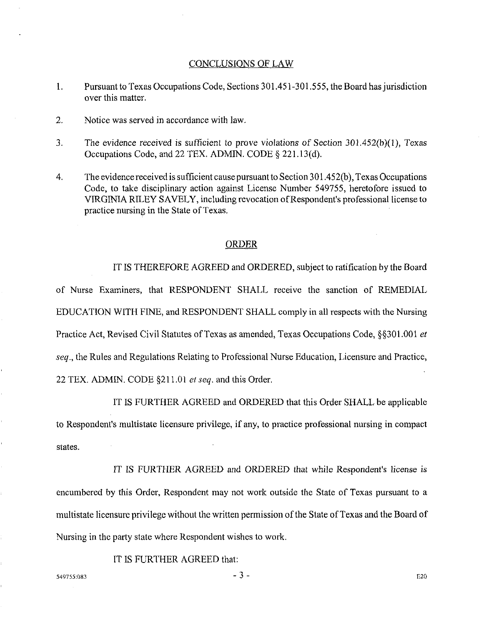## CONCLUSIONS OF LAW

- 1. Pursuant to Texas Occupations Code, Sections 301.451-301.555, the Board has jurisdiction over this matter.
- 2. Notice was served in accordance with law.
- 3. The evidence received is sufficient to prove violations of Section 301.452(b)(l), Texas Occupations Code, and 22 TEX. ADMIN. CODE§ 221.13(d).
- 4. The evidence received is sufficient cause pursuant to Section 301.452(b ), Texas Occupations Code, to take disciplinary action against License Number 549755, heretofore issued to VIRGINIA RILEY SAVELY, including revocation of Respondent's professional license to practice nursing in the State of Texas.

### ORDER

IT IS THEREFORE AGREED and ORDERED, subject to ratification by the Board of Nurse Examiners, that RESPONDENT SHALL receive the sanction of REMEDIAL EDUCATION WITH FINE, and RESPONDENT SHALL comply in all respects with the Nursing Practice Act, Revised Civil Statutes of Texas as amended, Texas Occupations Code, §§301.001 *et seq.,* the Rules and Regulations Relating to Professional Nurse Education, Licensure and Practice, 22 TEX. ADMIN. CODE §211.01 *et seq.* and this Order.

IT IS FURTHER AGREED and ORDERED that this Order SHALL be applicable to Respondent's multistate licensure privilege, if any, to practice professional nursing in compact states.

IT IS FURTHER AGREED and ORDERED that while Respondent's license is encumbered by this Order, Respondent may not work outside the State of Texas pursuant to a multistate licensure privilege without the written permission of the State of Texas and the Board of Nursing in the party state where Respondent wishes to work.

IT IS FURTHER AGREED that:

 $-3$  - E20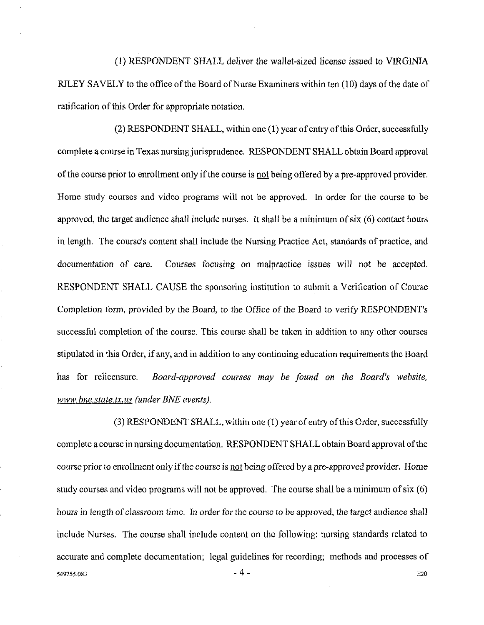(1) RESPONDENT SHALL deliver the wallet-sized license issued to VIRGlNlA RILEY SAVELY to the office of the Board of Nurse Examiners within ten (10) days of the date of ratification of this Order for appropriate notation.

(2) RESPONDENT SHALL, within one (1) year of entry of this Order, successfully complete a course in Texas nursing jurisprudence. RESPONDENT SHALL obtain Board approval of the course prior to enrollment only if the course is not being offered by a pre-approved provider. Home study courses and video programs will not be approved. In order for the course to be approved, the target audience shall include nurses. It shall be a minimum of six ( 6) contact hours in length. The course's content shall include the Nursing Practice Act, standards of practice, and documentation of care. Courses focusing on malpractice issues will not be accepted. RESPONDENT SHALL CAUSE the sponsoring institution to submit a Verification of Course Completion form, provided by the Board, to the Office of the Board to verify RESPONDENT's successful completion of the course. This course shall be taken in addition to any other courses stipulated in this Order, if any, and in addition to any continuing education requirements the Board has for relicensure. *Board-approved courses may be found on the Board's website, www.bne.state.tx.us (under BNE events).* 

 $(3)$  RESPONDENT SHALL, within one  $(1)$  year of entry of this Order, successfully complete a course in nursing documentation. RESPONDENT SHALL obtain Board approval of the course prior to enrollment only if the course is not being offered by a pre-approved provider. Home study courses and video programs will not be approved. The course shall be a minimum of six (6) hours in length of classroom time. In order for the course to be approved, the target audience shall include Nurses. The course shall include content on the following: nursing standards related to accurate and complete documentation; legal guidelines for recording; methods and processes of  $-4$  - E20

í,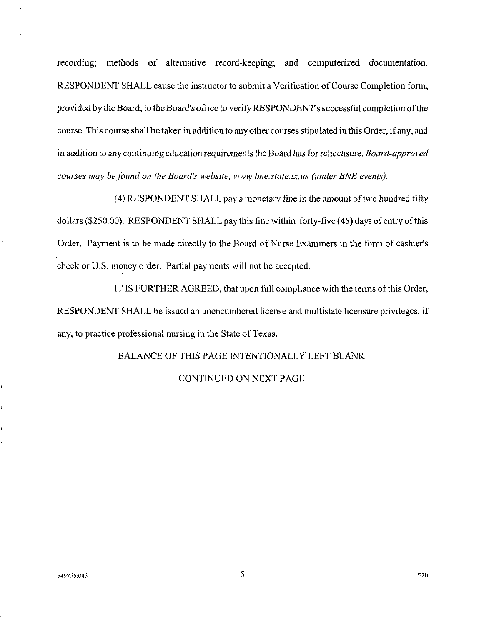recording; methods of altemative record-keeping; and computerized documentation. RESPONDENT SHALL cause the instructor to submit a Verification of Course Completion form, provided by the Board, to the Board's office to verify RESPONDENT's successful completion ofthe course. This course shall be taken in addition to any other courses stipulated in this Order, if any, and in addition to any continuing education requirements the Board has for relicensure. *Board-approved courses may be found on the Board's website, www.bne.state.tx.us (under BNE events).* 

( 4) RESPONDENT SHALL pay a monetary fine in the amount of two hundred fifty dollars (\$250.00). RESPONDENT SHALL pay this fine within forty-five (45) days of entry of this Order. Payment is to be made directly to the Board of Nurse Examiners in the form of cashier's check or U.S. money order. Partial payments will not be accepted.

IT IS FURTHER AGREED, that upon full compliance with the terms of this Order, RESPONDENT SHALL be issued an unencumbered license and multistate licensure privileges, if any, to practice professional nursing in the State of Texas.

BALANCE OF THIS PAGE INTENTIONALLY LEFT BLANK.

CONTINUED ON NEXT PAGE.

Ť

 $\frac{1}{2}$ 

Î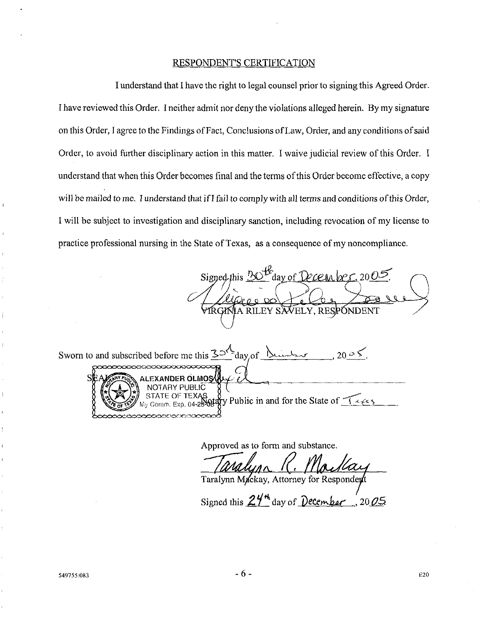### RESPONDENT'S CERTIFICATION

I understand that I have the right to legal counsel prior to signing this Agreed Order. I have reviewed this Order. I neither admit nor deny the violations alleged herein. By my signature on this Order, I agree to the Findings of Fact, Conclusions of Law, Order, and any conditions of said Order, to avoid further disciplinary action in this matter. I waive judicial review of this Order. I understand that when this Order becomes final and the terms of this Order become effective, a copy will be mailed to me. I understand that if I fail to comply with all terms and conditions of this Order, I will be subject to investigation and disciplinary sanction, including revocation of my license to practice professional nursing in the State of Texas, as a consequence of my noncompliance.

Signed this <u>BO</u> day of December 2005

Sworn to and subscribed before me this  $\frac{35^{\sqrt{2}}}{a}$  day of <u>humber</u>, 20  $\ge$  5. EXANDER OLMOS ( NOTARY PUBLIC OF TEXAS  $\begin{array}{c} 8 \\ 1 \end{array}$  Public in and for the State of  $\begin{array}{c} 1 \leq \epsilon \leq 5 \\ 2 \end{array}$ 

Approved as to form and substance.

Taralynn Mackay, Attorney for Respondent

Signed this  $24^{\frac{1}{2}}$  day of *December*  $\frac{7}{20}$  05

549755:083